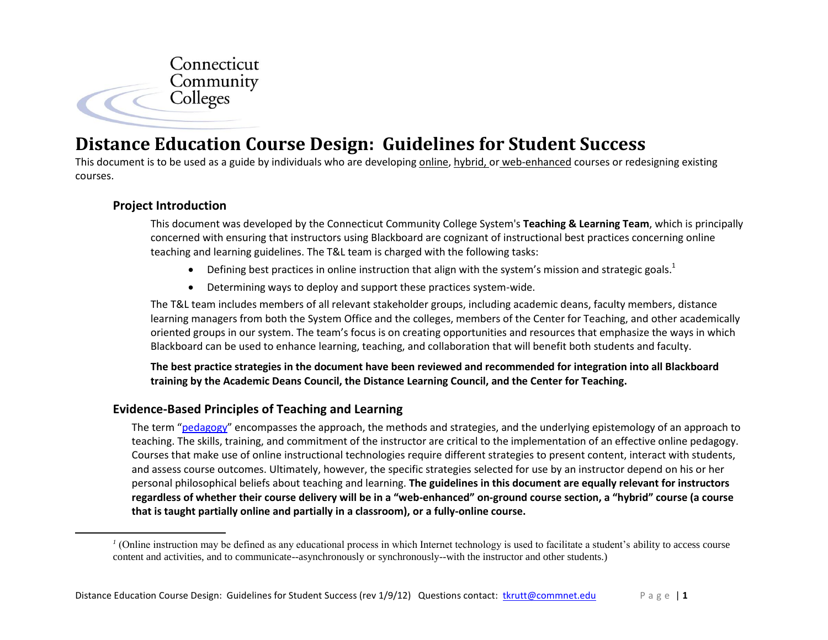

# **Distance Education Course Design: Guidelines for Student Success**

This document is to be used as a guide by individuals who are developing online, hybrid, or web-enhanced courses or redesigning existing courses.

## **Project Introduction**

 $\overline{a}$ 

This document was developed by the Connecticut Community College System's **Teaching & Learning Team**, which is principally concerned with ensuring that instructors using Blackboard are cognizant of instructional best practices concerning online teaching and learning guidelines. The T&L team is charged with the following tasks:

- $\bullet$  Defining best practices in online instruction that align with the system's mission and strategic goals.<sup>1</sup>
- Determining ways to deploy and support these practices system-wide.

The T&L team includes members of all relevant stakeholder groups, including academic deans, faculty members, distance learning managers from both the System Office and the colleges, members of the Center for Teaching, and other academically oriented groups in our system. The team's focus is on creating opportunities and resources that emphasize the ways in which Blackboard can be used to enhance learning, teaching, and collaboration that will benefit both students and faculty.

**The best practice strategies in the document have been reviewed and recommended for integration into all Blackboard training by the Academic Deans Council, the Distance Learning Council, and the Center for Teaching.**

# **Evidence-Based Principles of Teaching and Learning**

The term "[pedagogy](#page-15-0)" encompasses the approach, the methods and strategies, and the underlying epistemology of an approach to teaching. The skills, training, and commitment of the instructor are critical to the implementation of an effective online pedagogy. Courses that make use of online instructional technologies require different strategies to present content, interact with students, and assess course outcomes. Ultimately, however, the specific strategies selected for use by an instructor depend on his or her personal philosophical beliefs about teaching and learning. **The guidelines in this document are equally relevant for instructors regardless of whether their course delivery will be in a "web-enhanced" on-ground course section, a "hybrid" course (a course that is taught partially online and partially in a classroom), or a fully-online course.** 

 $<sup>1</sup>$  (Online instruction may be defined as any educational process in which Internet technology is used to facilitate a student's ability to access course</sup> content and activities, and to communicate--asynchronously or synchronously--with the instructor and other students.)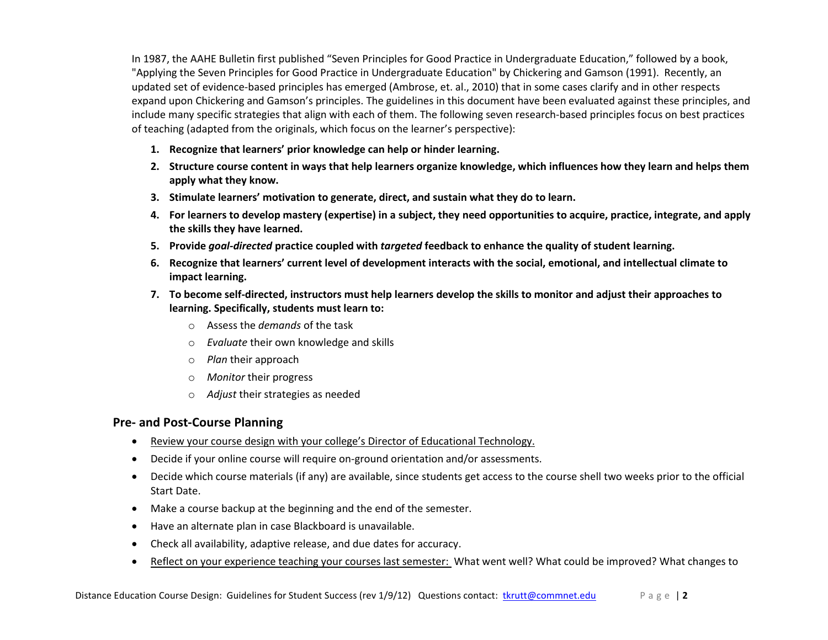In 1987, the AAHE Bulletin first published "Seven Principles for Good Practice in Undergraduate Education," followed by a book, "Applying the Seven Principles for Good Practice in Undergraduate Education" by Chickering and Gamson (1991). Recently, an updated set of evidence-based principles has emerged (Ambrose, et. al., 2010) that in some cases clarify and in other respects expand upon Chickering and Gamson's principles. The guidelines in this document have been evaluated against these principles, and include many specific strategies that align with each of them. The following seven research-based principles focus on best practices of teaching (adapted from the originals, which focus on the learner's perspective):

- **1. Recognize that learners' prior knowledge can help or hinder learning.**
- **2. Structure course content in ways that help learners organize knowledge, which influences how they learn and helps them apply what they know.**
- **3. Stimulate learners' motivation to generate, direct, and sustain what they do to learn.**
- **4. For learners to develop mastery (expertise) in a subject, they need opportunities to acquire, practice, integrate, and apply the skills they have learned.**
- **5. Provide** *goal-directed* **practice coupled with** *targeted* **feedback to enhance the quality of student learning.**
- **6. Recognize that learners' current level of development interacts with the social, emotional, and intellectual climate to impact learning.**
- **7. To become self-directed, instructors must help learners develop the skills to monitor and adjust their approaches to learning. Specifically, students must learn to:**
	- o Assess the *demands* of the task
	- o *Evaluate* their own knowledge and skills
	- o *Plan* their approach
	- o *Monitor* their progress
	- o *Adjust* their strategies as needed

# **Pre- and Post-Course Planning**

- Review your course design with your college's Director of Educational Technology.
- Decide if your online course will require on-ground orientation and/or assessments.
- Decide which course materials (if any) are available, since students get access to the course shell two weeks prior to the official Start Date.
- Make a course backup at the beginning and the end of the semester.
- Have an alternate plan in case Blackboard is unavailable.
- Check all availability, adaptive release, and due dates for accuracy.
- Reflect on your experience teaching your courses last semester: What went well? What could be improved? What changes to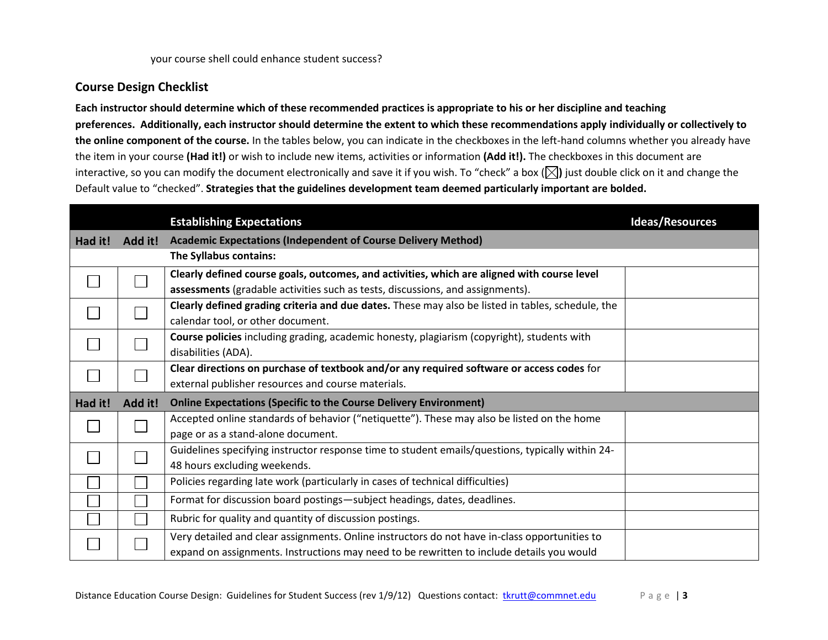## **Course Design Checklist**

**Each instructor should determine which of these recommended practices is appropriate to his or her discipline and teaching preferences. Additionally, each instructor should determine the extent to which these recommendations apply individually or collectively to the online component of the course.** In the tables below, you can indicate in the checkboxes in the left-hand columns whether you already have the item in your course **(Had it!)** or wish to include new items, activities or information **(Add it!).** The checkboxes in this document are interactive, so you can modify the document electronically and save it if you wish. To "check" a box  $(\boxtimes)$  just double click on it and change the Default value to "checked". **Strategies that the guidelines development team deemed particularly important are bolded.**

|         |         | <b>Establishing Expectations</b>                                                                  | <b>Ideas/Resources</b> |
|---------|---------|---------------------------------------------------------------------------------------------------|------------------------|
| Had it! | Add it! | <b>Academic Expectations (Independent of Course Delivery Method)</b>                              |                        |
|         |         | The Syllabus contains:                                                                            |                        |
|         |         | Clearly defined course goals, outcomes, and activities, which are aligned with course level       |                        |
|         |         | assessments (gradable activities such as tests, discussions, and assignments).                    |                        |
|         |         | Clearly defined grading criteria and due dates. These may also be listed in tables, schedule, the |                        |
|         |         | calendar tool, or other document.                                                                 |                        |
|         |         | Course policies including grading, academic honesty, plagiarism (copyright), students with        |                        |
|         |         | disabilities (ADA).                                                                               |                        |
|         |         | Clear directions on purchase of textbook and/or any required software or access codes for         |                        |
|         |         | external publisher resources and course materials.                                                |                        |
| Had it! | Add it! | <b>Online Expectations (Specific to the Course Delivery Environment)</b>                          |                        |
|         |         | Accepted online standards of behavior ("netiquette"). These may also be listed on the home        |                        |
|         |         | page or as a stand-alone document.                                                                |                        |
|         |         | Guidelines specifying instructor response time to student emails/questions, typically within 24-  |                        |
|         |         | 48 hours excluding weekends.                                                                      |                        |
|         |         | Policies regarding late work (particularly in cases of technical difficulties)                    |                        |
|         |         | Format for discussion board postings-subject headings, dates, deadlines.                          |                        |
|         |         | Rubric for quality and quantity of discussion postings.                                           |                        |
|         |         | Very detailed and clear assignments. Online instructors do not have in-class opportunities to     |                        |
|         |         | expand on assignments. Instructions may need to be rewritten to include details you would         |                        |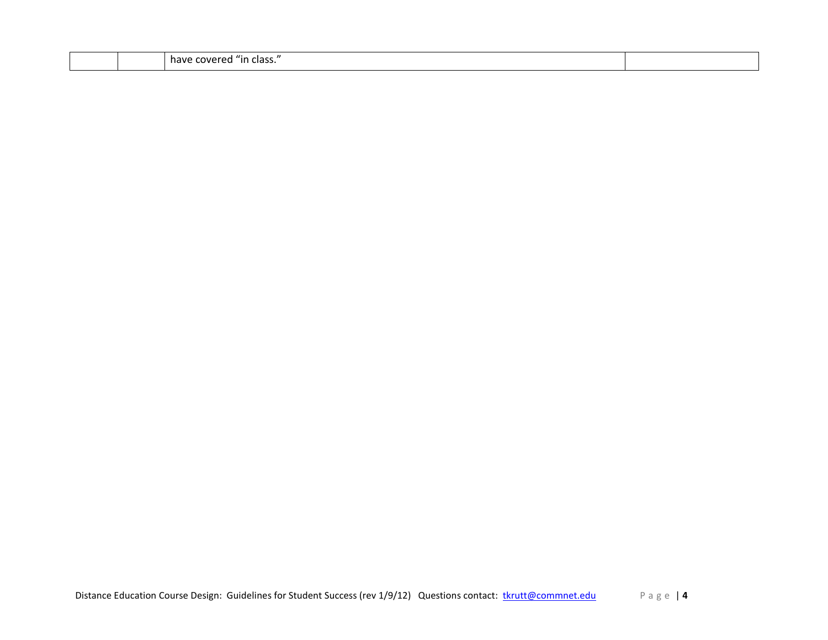|  |  | $^{\prime\prime}$<br>have<br>٦n<br>. OVE<br>. udss. |  |
|--|--|-----------------------------------------------------|--|
|--|--|-----------------------------------------------------|--|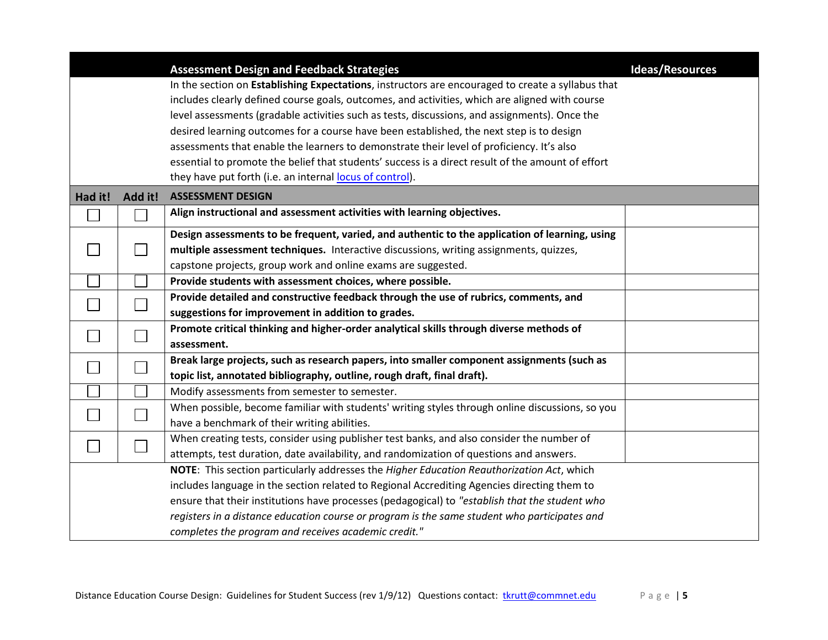|         |         | <b>Assessment Design and Feedback Strategies</b>                                                  | <b>Ideas/Resources</b> |
|---------|---------|---------------------------------------------------------------------------------------------------|------------------------|
|         |         | In the section on Establishing Expectations, instructors are encouraged to create a syllabus that |                        |
|         |         | includes clearly defined course goals, outcomes, and activities, which are aligned with course    |                        |
|         |         | level assessments (gradable activities such as tests, discussions, and assignments). Once the     |                        |
|         |         | desired learning outcomes for a course have been established, the next step is to design          |                        |
|         |         | assessments that enable the learners to demonstrate their level of proficiency. It's also         |                        |
|         |         | essential to promote the belief that students' success is a direct result of the amount of effort |                        |
|         |         | they have put forth (i.e. an internal locus of control).                                          |                        |
| Had it! | Add it! | <b>ASSESSMENT DESIGN</b>                                                                          |                        |
|         |         | Align instructional and assessment activities with learning objectives.                           |                        |
|         |         | Design assessments to be frequent, varied, and authentic to the application of learning, using    |                        |
|         |         | multiple assessment techniques. Interactive discussions, writing assignments, quizzes,            |                        |
|         |         | capstone projects, group work and online exams are suggested.                                     |                        |
|         |         | Provide students with assessment choices, where possible.                                         |                        |
|         |         | Provide detailed and constructive feedback through the use of rubrics, comments, and              |                        |
|         |         | suggestions for improvement in addition to grades.                                                |                        |
|         |         | Promote critical thinking and higher-order analytical skills through diverse methods of           |                        |
|         |         | assessment.                                                                                       |                        |
|         |         | Break large projects, such as research papers, into smaller component assignments (such as        |                        |
|         |         | topic list, annotated bibliography, outline, rough draft, final draft).                           |                        |
|         |         | Modify assessments from semester to semester.                                                     |                        |
|         |         | When possible, become familiar with students' writing styles through online discussions, so you   |                        |
|         |         | have a benchmark of their writing abilities.                                                      |                        |
|         |         | When creating tests, consider using publisher test banks, and also consider the number of         |                        |
|         |         | attempts, test duration, date availability, and randomization of questions and answers.           |                        |
|         |         | NOTE: This section particularly addresses the Higher Education Reauthorization Act, which         |                        |
|         |         | includes language in the section related to Regional Accrediting Agencies directing them to       |                        |
|         |         | ensure that their institutions have processes (pedagogical) to "establish that the student who    |                        |
|         |         | registers in a distance education course or program is the same student who participates and      |                        |
|         |         | completes the program and receives academic credit."                                              |                        |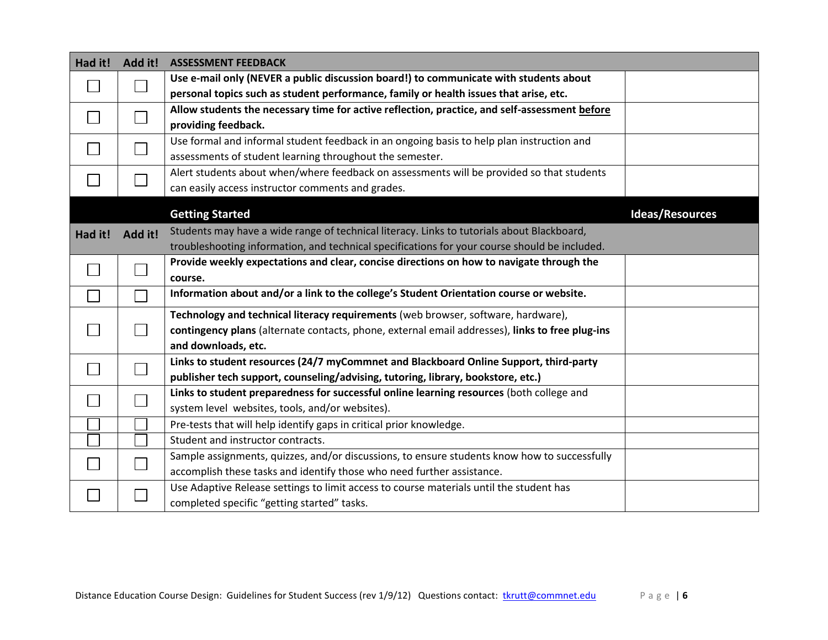| Had it! | Add it! | <b>ASSESSMENT FEEDBACK</b>                                                                      |                        |
|---------|---------|-------------------------------------------------------------------------------------------------|------------------------|
|         |         | Use e-mail only (NEVER a public discussion board!) to communicate with students about           |                        |
|         |         | personal topics such as student performance, family or health issues that arise, etc.           |                        |
|         |         | Allow students the necessary time for active reflection, practice, and self-assessment before   |                        |
|         |         | providing feedback.                                                                             |                        |
|         |         | Use formal and informal student feedback in an ongoing basis to help plan instruction and       |                        |
|         |         | assessments of student learning throughout the semester.                                        |                        |
|         |         | Alert students about when/where feedback on assessments will be provided so that students       |                        |
|         |         | can easily access instructor comments and grades.                                               |                        |
|         |         | <b>Getting Started</b>                                                                          | <b>Ideas/Resources</b> |
| Had it! | Add it! | Students may have a wide range of technical literacy. Links to tutorials about Blackboard,      |                        |
|         |         | troubleshooting information, and technical specifications for your course should be included.   |                        |
|         |         | Provide weekly expectations and clear, concise directions on how to navigate through the        |                        |
|         |         | course.                                                                                         |                        |
|         |         | Information about and/or a link to the college's Student Orientation course or website.         |                        |
|         |         | Technology and technical literacy requirements (web browser, software, hardware),               |                        |
|         |         | contingency plans (alternate contacts, phone, external email addresses), links to free plug-ins |                        |
|         |         | and downloads, etc.                                                                             |                        |
|         |         | Links to student resources (24/7 myCommnet and Blackboard Online Support, third-party           |                        |
|         |         | publisher tech support, counseling/advising, tutoring, library, bookstore, etc.)                |                        |
|         |         | Links to student preparedness for successful online learning resources (both college and        |                        |
|         |         | system level websites, tools, and/or websites).                                                 |                        |
|         |         | Pre-tests that will help identify gaps in critical prior knowledge.                             |                        |
|         |         | Student and instructor contracts.                                                               |                        |
|         |         | Sample assignments, quizzes, and/or discussions, to ensure students know how to successfully    |                        |
|         |         | accomplish these tasks and identify those who need further assistance.                          |                        |
|         |         | Use Adaptive Release settings to limit access to course materials until the student has         |                        |
|         |         | completed specific "getting started" tasks.                                                     |                        |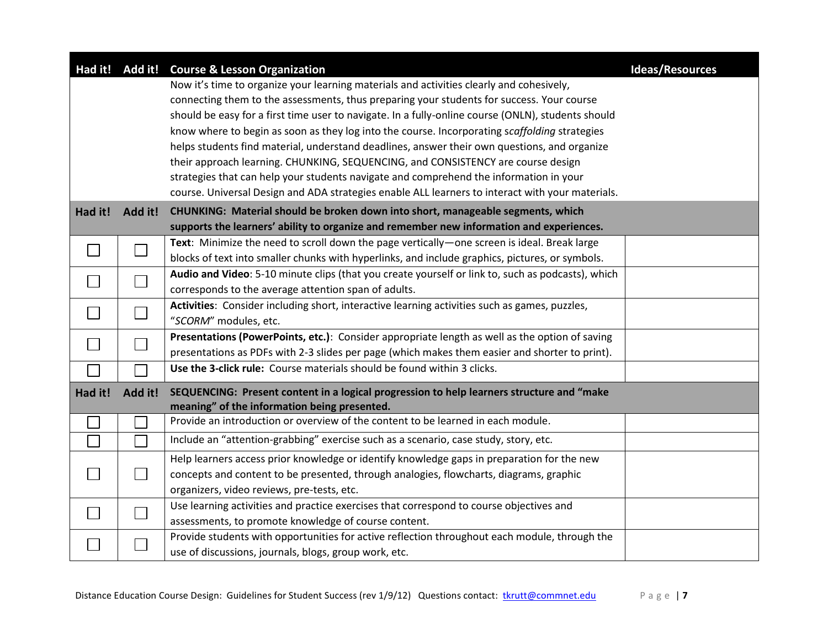|         |                             | Had it! Add it! Course & Lesson Organization                                                       | <b>Ideas/Resources</b> |
|---------|-----------------------------|----------------------------------------------------------------------------------------------------|------------------------|
|         |                             | Now it's time to organize your learning materials and activities clearly and cohesively,           |                        |
|         |                             | connecting them to the assessments, thus preparing your students for success. Your course          |                        |
|         |                             | should be easy for a first time user to navigate. In a fully-online course (ONLN), students should |                        |
|         |                             | know where to begin as soon as they log into the course. Incorporating scaffolding strategies      |                        |
|         |                             | helps students find material, understand deadlines, answer their own questions, and organize       |                        |
|         |                             | their approach learning. CHUNKING, SEQUENCING, and CONSISTENCY are course design                   |                        |
|         |                             | strategies that can help your students navigate and comprehend the information in your             |                        |
|         |                             | course. Universal Design and ADA strategies enable ALL learners to interact with your materials.   |                        |
| Had it! | Add it!                     | CHUNKING: Material should be broken down into short, manageable segments, which                    |                        |
|         |                             | supports the learners' ability to organize and remember new information and experiences.           |                        |
|         |                             | Text: Minimize the need to scroll down the page vertically—one screen is ideal. Break large        |                        |
|         | $\mathcal{L}_{\mathcal{A}}$ | blocks of text into smaller chunks with hyperlinks, and include graphics, pictures, or symbols.    |                        |
|         |                             | Audio and Video: 5-10 minute clips (that you create yourself or link to, such as podcasts), which  |                        |
|         |                             | corresponds to the average attention span of adults.                                               |                        |
|         |                             | Activities: Consider including short, interactive learning activities such as games, puzzles,      |                        |
|         |                             | "SCORM" modules, etc.                                                                              |                        |
|         |                             | Presentations (PowerPoints, etc.): Consider appropriate length as well as the option of saving     |                        |
|         |                             | presentations as PDFs with 2-3 slides per page (which makes them easier and shorter to print).     |                        |
|         |                             | Use the 3-click rule: Course materials should be found within 3 clicks.                            |                        |
| Had it! | Add it!                     | SEQUENCING: Present content in a logical progression to help learners structure and "make          |                        |
|         |                             | meaning" of the information being presented.                                                       |                        |
|         |                             | Provide an introduction or overview of the content to be learned in each module.                   |                        |
|         |                             | Include an "attention-grabbing" exercise such as a scenario, case study, story, etc.               |                        |
|         |                             | Help learners access prior knowledge or identify knowledge gaps in preparation for the new         |                        |
|         |                             | concepts and content to be presented, through analogies, flowcharts, diagrams, graphic             |                        |
|         |                             | organizers, video reviews, pre-tests, etc.                                                         |                        |
|         |                             | Use learning activities and practice exercises that correspond to course objectives and            |                        |
|         |                             | assessments, to promote knowledge of course content.                                               |                        |
|         |                             | Provide students with opportunities for active reflection throughout each module, through the      |                        |
|         |                             | use of discussions, journals, blogs, group work, etc.                                              |                        |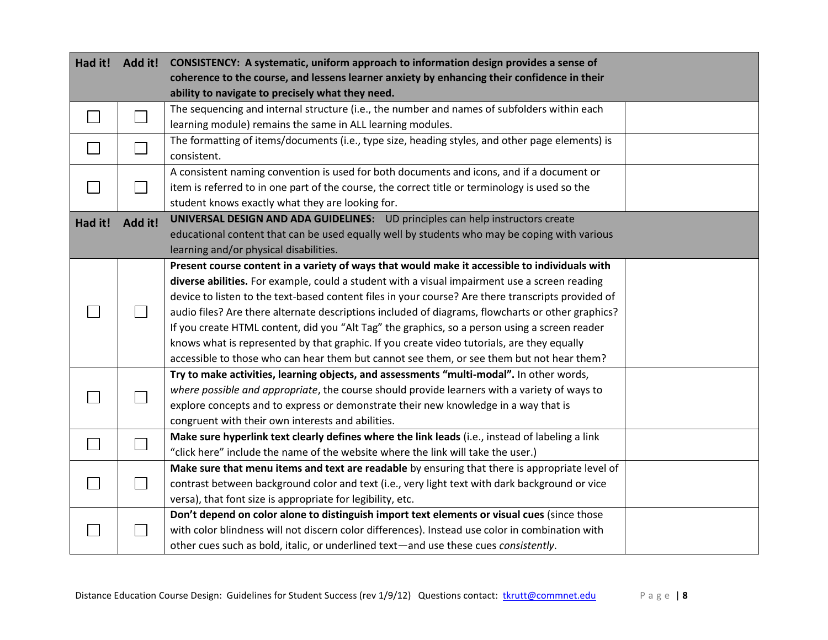|         | Had it! Add it! | CONSISTENCY: A systematic, uniform approach to information design provides a sense of<br>coherence to the course, and lessens learner anxiety by enhancing their confidence in their<br>ability to navigate to precisely what they need. |  |
|---------|-----------------|------------------------------------------------------------------------------------------------------------------------------------------------------------------------------------------------------------------------------------------|--|
|         |                 | The sequencing and internal structure (i.e., the number and names of subfolders within each                                                                                                                                              |  |
|         |                 | learning module) remains the same in ALL learning modules.<br>The formatting of items/documents (i.e., type size, heading styles, and other page elements) is                                                                            |  |
|         |                 | consistent.                                                                                                                                                                                                                              |  |
|         |                 | A consistent naming convention is used for both documents and icons, and if a document or                                                                                                                                                |  |
|         |                 | item is referred to in one part of the course, the correct title or terminology is used so the                                                                                                                                           |  |
|         |                 | student knows exactly what they are looking for.                                                                                                                                                                                         |  |
| Had it! | Add it!         | UNIVERSAL DESIGN AND ADA GUIDELINES: UD principles can help instructors create                                                                                                                                                           |  |
|         |                 | educational content that can be used equally well by students who may be coping with various                                                                                                                                             |  |
|         |                 | learning and/or physical disabilities.                                                                                                                                                                                                   |  |
|         |                 | Present course content in a variety of ways that would make it accessible to individuals with                                                                                                                                            |  |
|         |                 | diverse abilities. For example, could a student with a visual impairment use a screen reading                                                                                                                                            |  |
|         |                 | device to listen to the text-based content files in your course? Are there transcripts provided of                                                                                                                                       |  |
|         |                 | audio files? Are there alternate descriptions included of diagrams, flowcharts or other graphics?                                                                                                                                        |  |
|         |                 | If you create HTML content, did you "Alt Tag" the graphics, so a person using a screen reader                                                                                                                                            |  |
|         |                 | knows what is represented by that graphic. If you create video tutorials, are they equally                                                                                                                                               |  |
|         |                 | accessible to those who can hear them but cannot see them, or see them but not hear them?                                                                                                                                                |  |
|         |                 | Try to make activities, learning objects, and assessments "multi-modal". In other words,                                                                                                                                                 |  |
|         |                 | where possible and appropriate, the course should provide learners with a variety of ways to                                                                                                                                             |  |
|         |                 | explore concepts and to express or demonstrate their new knowledge in a way that is                                                                                                                                                      |  |
|         |                 | congruent with their own interests and abilities.                                                                                                                                                                                        |  |
|         |                 | Make sure hyperlink text clearly defines where the link leads (i.e., instead of labeling a link                                                                                                                                          |  |
|         |                 | "click here" include the name of the website where the link will take the user.)                                                                                                                                                         |  |
|         |                 | Make sure that menu items and text are readable by ensuring that there is appropriate level of                                                                                                                                           |  |
|         |                 | contrast between background color and text (i.e., very light text with dark background or vice                                                                                                                                           |  |
|         |                 | versa), that font size is appropriate for legibility, etc.                                                                                                                                                                               |  |
|         |                 | Don't depend on color alone to distinguish import text elements or visual cues (since those                                                                                                                                              |  |
|         |                 | with color blindness will not discern color differences). Instead use color in combination with                                                                                                                                          |  |
|         |                 | other cues such as bold, italic, or underlined text-and use these cues consistently.                                                                                                                                                     |  |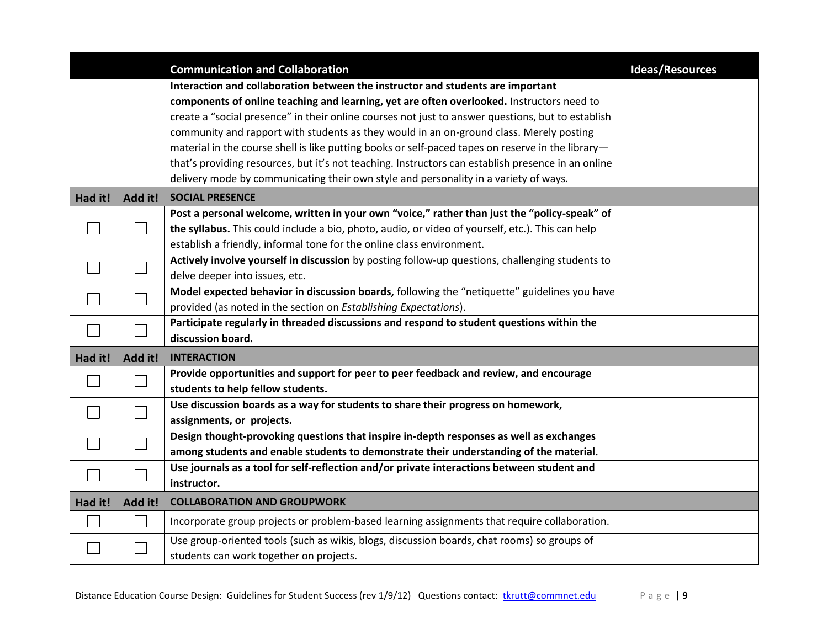|         |         | <b>Communication and Collaboration</b>                                                             | <b>Ideas/Resources</b> |
|---------|---------|----------------------------------------------------------------------------------------------------|------------------------|
|         |         | Interaction and collaboration between the instructor and students are important                    |                        |
|         |         | components of online teaching and learning, yet are often overlooked. Instructors need to          |                        |
|         |         | create a "social presence" in their online courses not just to answer questions, but to establish  |                        |
|         |         | community and rapport with students as they would in an on-ground class. Merely posting            |                        |
|         |         | material in the course shell is like putting books or self-paced tapes on reserve in the library-  |                        |
|         |         | that's providing resources, but it's not teaching. Instructors can establish presence in an online |                        |
|         |         | delivery mode by communicating their own style and personality in a variety of ways.               |                        |
| Had it! | Add it! | <b>SOCIAL PRESENCE</b>                                                                             |                        |
|         |         | Post a personal welcome, written in your own "voice," rather than just the "policy-speak" of       |                        |
|         |         | the syllabus. This could include a bio, photo, audio, or video of yourself, etc.). This can help   |                        |
|         |         | establish a friendly, informal tone for the online class environment.                              |                        |
|         |         | Actively involve yourself in discussion by posting follow-up questions, challenging students to    |                        |
|         |         | delve deeper into issues, etc.                                                                     |                        |
|         |         | Model expected behavior in discussion boards, following the "netiquette" guidelines you have       |                        |
|         |         | provided (as noted in the section on Establishing Expectations).                                   |                        |
|         |         | Participate regularly in threaded discussions and respond to student questions within the          |                        |
|         |         | discussion board.                                                                                  |                        |
| Had it! | Add it! | <b>INTERACTION</b>                                                                                 |                        |
|         |         | Provide opportunities and support for peer to peer feedback and review, and encourage              |                        |
|         |         | students to help fellow students.                                                                  |                        |
|         |         | Use discussion boards as a way for students to share their progress on homework,                   |                        |
|         |         | assignments, or projects.                                                                          |                        |
|         |         | Design thought-provoking questions that inspire in-depth responses as well as exchanges            |                        |
|         |         | among students and enable students to demonstrate their understanding of the material.             |                        |
|         |         | Use journals as a tool for self-reflection and/or private interactions between student and         |                        |
|         |         | instructor.                                                                                        |                        |
| Had it! | Add it! | <b>COLLABORATION AND GROUPWORK</b>                                                                 |                        |
|         |         | Incorporate group projects or problem-based learning assignments that require collaboration.       |                        |
|         |         | Use group-oriented tools (such as wikis, blogs, discussion boards, chat rooms) so groups of        |                        |
|         |         | students can work together on projects.                                                            |                        |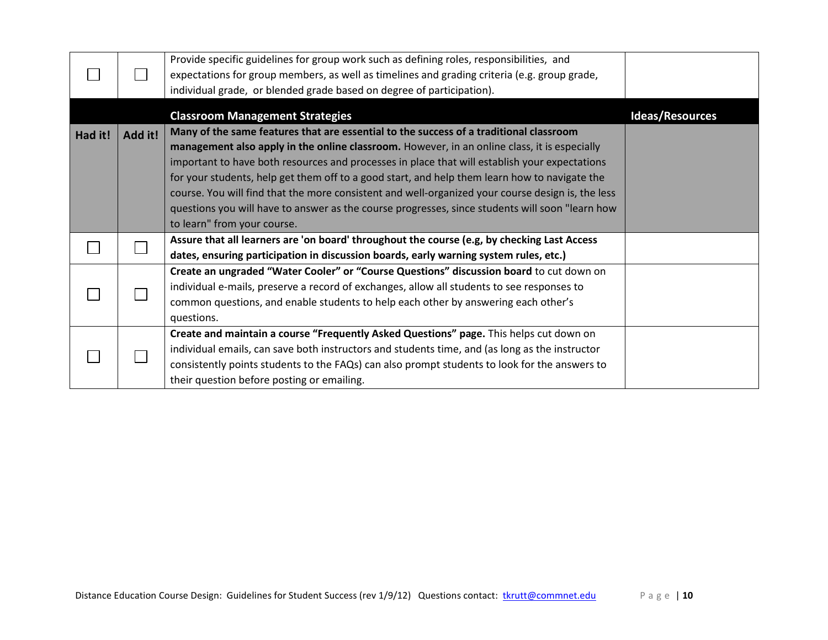|         |         | Provide specific guidelines for group work such as defining roles, responsibilities, and<br>expectations for group members, as well as timelines and grading criteria (e.g. group grade,<br>individual grade, or blended grade based on degree of participation). |                        |
|---------|---------|-------------------------------------------------------------------------------------------------------------------------------------------------------------------------------------------------------------------------------------------------------------------|------------------------|
|         |         | <b>Classroom Management Strategies</b>                                                                                                                                                                                                                            | <b>Ideas/Resources</b> |
| Had it! | Add it! | Many of the same features that are essential to the success of a traditional classroom                                                                                                                                                                            |                        |
|         |         | management also apply in the online classroom. However, in an online class, it is especially                                                                                                                                                                      |                        |
|         |         | important to have both resources and processes in place that will establish your expectations                                                                                                                                                                     |                        |
|         |         | for your students, help get them off to a good start, and help them learn how to navigate the                                                                                                                                                                     |                        |
|         |         | course. You will find that the more consistent and well-organized your course design is, the less                                                                                                                                                                 |                        |
|         |         | questions you will have to answer as the course progresses, since students will soon "learn how                                                                                                                                                                   |                        |
|         |         | to learn" from your course.                                                                                                                                                                                                                                       |                        |
|         |         | Assure that all learners are 'on board' throughout the course (e.g, by checking Last Access                                                                                                                                                                       |                        |
|         |         | dates, ensuring participation in discussion boards, early warning system rules, etc.)                                                                                                                                                                             |                        |
|         |         | Create an ungraded "Water Cooler" or "Course Questions" discussion board to cut down on                                                                                                                                                                           |                        |
|         |         | individual e-mails, preserve a record of exchanges, allow all students to see responses to                                                                                                                                                                        |                        |
|         |         | common questions, and enable students to help each other by answering each other's                                                                                                                                                                                |                        |
|         |         | questions.                                                                                                                                                                                                                                                        |                        |
|         |         | Create and maintain a course "Frequently Asked Questions" page. This helps cut down on                                                                                                                                                                            |                        |
|         |         | individual emails, can save both instructors and students time, and (as long as the instructor                                                                                                                                                                    |                        |
|         |         | consistently points students to the FAQs) can also prompt students to look for the answers to                                                                                                                                                                     |                        |
|         |         | their question before posting or emailing.                                                                                                                                                                                                                        |                        |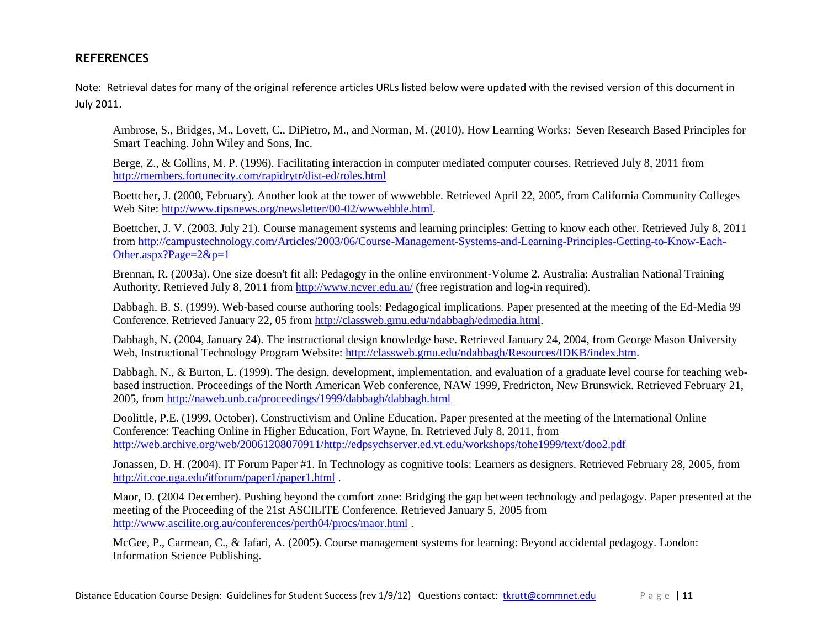# **REFERENCES**

Note: Retrieval dates for many of the original reference articles URLs listed below were updated with the revised version of this document in July 2011.

Ambrose, S., Bridges, M., Lovett, C., DiPietro, M., and Norman, M. (2010). How Learning Works: Seven Research Based Principles for Smart Teaching. John Wiley and Sons, Inc.

Berge, Z., & Collins, M. P. (1996). Facilitating interaction in computer mediated computer courses. Retrieved July 8, 2011 from <http://members.fortunecity.com/rapidrytr/dist-ed/roles.html>

Boettcher, J. (2000, February). Another look at the tower of wwwebble. Retrieved April 22, 2005, from California Community Colleges Web Site: [http://www.tipsnews.org/newsletter/00-02/wwwebble.html.](http://www.tipsnews.org/newsletter/00-02/wwwebble.html)

Boettcher, J. V. (2003, July 21). Course management systems and learning principles: Getting to know each other. Retrieved July 8, 2011 from [http://campustechnology.com/Articles/2003/06/Course-Management-Systems-and-Learning-Principles-Getting-to-Know-Each-](http://campustechnology.com/Articles/2003/06/Course-Management-Systems-and-Learning-Principles-Getting-to-Know-Each-Other.aspx?Page=2&p=1)[Other.aspx?Page=2&p=1](http://campustechnology.com/Articles/2003/06/Course-Management-Systems-and-Learning-Principles-Getting-to-Know-Each-Other.aspx?Page=2&p=1)

Brennan, R. (2003a). One size doesn't fit all: Pedagogy in the online environment-Volume 2. Australia: Australian National Training Authority. Retrieved July 8, 2011 fro[m http://www.ncver.edu.au/](http://www.ncver.edu.au/) (free registration and log-in required).

Dabbagh, B. S. (1999). Web-based course authoring tools: Pedagogical implications. Paper presented at the meeting of the Ed-Media 99 Conference. Retrieved January 22, 05 from [http://classweb.gmu.edu/ndabbagh/edmedia.html.](http://classweb.gmu.edu/ndabbagh/edmedia.html)

Dabbagh, N. (2004, January 24). The instructional design knowledge base. Retrieved January 24, 2004, from George Mason University Web, Instructional Technology Program Website: [http://classweb.gmu.edu/ndabbagh/Resources/IDKB/index.htm.](http://classweb.gmu.edu/ndabbagh/Resources/IDKB/index.htm)

Dabbagh, N., & Burton, L. (1999). The design, development, implementation, and evaluation of a graduate level course for teaching webbased instruction. Proceedings of the North American Web conference, NAW 1999, Fredricton, New Brunswick. Retrieved February 21, 2005, fro[m http://naweb.unb.ca/proceedings/1999/dabbagh/dabbagh.html](http://naweb.unb.ca/proceedings/1999/dabbagh/dabbagh.html)

Doolittle, P.E. (1999, October). Constructivism and Online Education. Paper presented at the meeting of the International Online Conference: Teaching Online in Higher Education, Fort Wayne, In. Retrieved July 8, 2011, from [http://web.archive.org/web/20061208070911/http://edpsychserver.ed.vt.edu/workshops/tohe1999/text/doo2.pdf](http://web.archive.org/web/20061208070911/http:/edpsychserver.ed.vt.edu/workshops/tohe1999/text/doo2.pdf)

Jonassen, D. H. (2004). IT Forum Paper #1. In Technology as cognitive tools: Learners as designers. Retrieved February 28, 2005, from <http://it.coe.uga.edu/itforum/paper1/paper1.html> .

Maor, D. (2004 December). Pushing beyond the comfort zone: Bridging the gap between technology and pedagogy. Paper presented at the meeting of the Proceeding of the 21st ASCILITE Conference. Retrieved January 5, 2005 from <http://www.ascilite.org.au/conferences/perth04/procs/maor.html> .

McGee, P., Carmean, C., & Jafari, A. (2005). Course management systems for learning: Beyond accidental pedagogy. London: Information Science Publishing.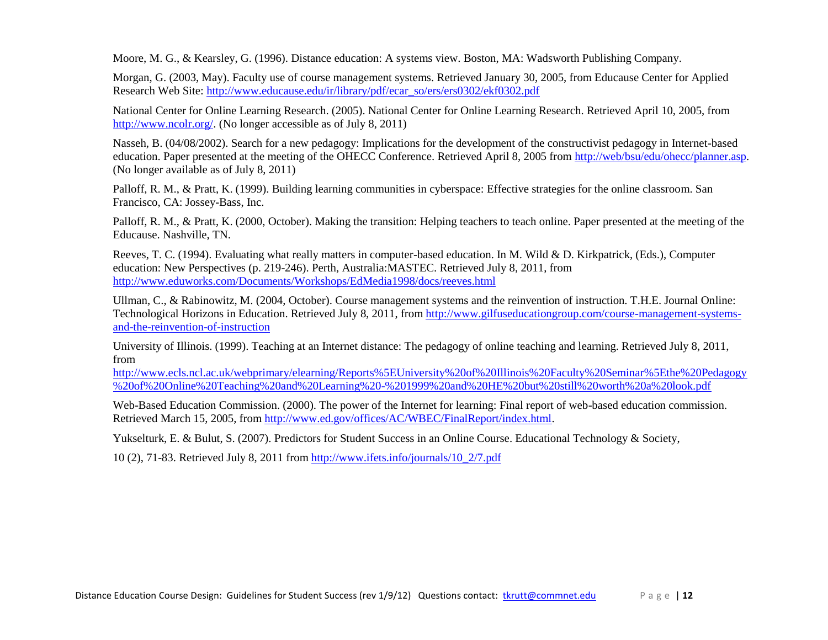Moore, M. G., & Kearsley, G. (1996). Distance education: A systems view. Boston, MA: Wadsworth Publishing Company.

Morgan, G. (2003, May). Faculty use of course management systems. Retrieved January 30, 2005, from Educause Center for Applied Research Web Site: [http://www.educause.edu/ir/library/pdf/ecar\\_so/ers/ers0302/ekf0302.pdf](http://www.educause.edu/ir/library/pdf/ecar_so/ers/ers0302/ekf0302.pdf)

National Center for Online Learning Research. (2005). National Center for Online Learning Research. Retrieved April 10, 2005, from [http://www.ncolr.org/.](http://www.ncolr.org/) (No longer accessible as of July 8, 2011)

Nasseh, B. (04/08/2002). Search for a new pedagogy: Implications for the development of the constructivist pedagogy in Internet-based education. Paper presented at the meeting of the OHECC Conference. Retrieved April 8, 2005 fro[m http://web/bsu/edu/ohecc/planner.asp.](http://web/bsu/edu/ohecc/planner.asp) (No longer available as of July 8, 2011)

Palloff, R. M., & Pratt, K. (1999). Building learning communities in cyberspace: Effective strategies for the online classroom. San Francisco, CA: Jossey-Bass, Inc.

Palloff, R. M., & Pratt, K. (2000, October). Making the transition: Helping teachers to teach online. Paper presented at the meeting of the Educause. Nashville, TN.

Reeves, T. C. (1994). Evaluating what really matters in computer-based education. In M. Wild & D. Kirkpatrick, (Eds.), Computer education: New Perspectives (p. 219-246). Perth, Australia:MASTEC. Retrieved July 8, 2011, from <http://www.eduworks.com/Documents/Workshops/EdMedia1998/docs/reeves.html>

Ullman, C., & Rabinowitz, M. (2004, October). Course management systems and the reinvention of instruction. T.H.E. Journal Online: Technological Horizons in Education. Retrieved July 8, 2011, from [http://www.gilfuseducationgroup.com/course-management-systems](http://www.gilfuseducationgroup.com/course-management-systems-and-the-reinvention-of-instruction)[and-the-reinvention-of-instruction](http://www.gilfuseducationgroup.com/course-management-systems-and-the-reinvention-of-instruction)

University of Illinois. (1999). Teaching at an Internet distance: The pedagogy of online teaching and learning. Retrieved July 8, 2011, from

[http://www.ecls.ncl.ac.uk/webprimary/elearning/Reports%5EUniversity%20of%20Illinois%20Faculty%20Seminar%5Ethe%20Pedagogy](http://www.ecls.ncl.ac.uk/webprimary/elearning/Reports%5EUniversity%20of%20Illinois%20Faculty%20Seminar%5Ethe%20Pedagogy%20of%20Online%20Teaching%20and%20Learning%20-%201999%20and%20HE%20but%20still%20worth%20a%20look.pdf) [%20of%20Online%20Teaching%20and%20Learning%20-%201999%20and%20HE%20but%20still%20worth%20a%20look.pdf](http://www.ecls.ncl.ac.uk/webprimary/elearning/Reports%5EUniversity%20of%20Illinois%20Faculty%20Seminar%5Ethe%20Pedagogy%20of%20Online%20Teaching%20and%20Learning%20-%201999%20and%20HE%20but%20still%20worth%20a%20look.pdf)

Web-Based Education Commission. (2000). The power of the Internet for learning: Final report of web-based education commission. Retrieved March 15, 2005, from [http://www.ed.gov/offices/AC/WBEC/FinalReport/index.html.](http://www.ed.gov/offices/AC/WBEC/FinalReport/index.html)

Yukselturk, E. & Bulut, S. (2007). Predictors for Student Success in an Online Course. Educational Technology & Society,

10 (2), 71-83. Retrieved July 8, 2011 from [http://www.ifets.info/journals/10\\_2/7.pdf](http://www.ifets.info/journals/10_2/7.pdf)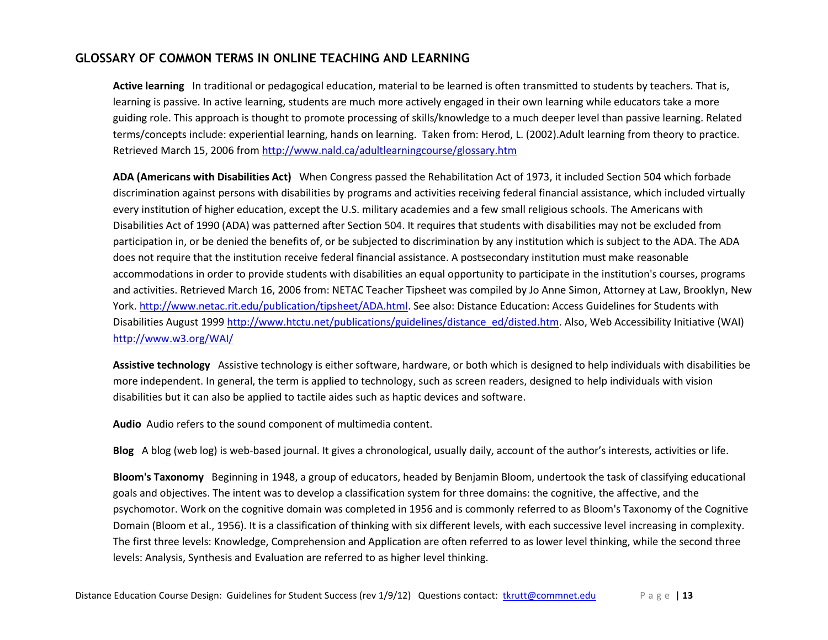# **GLOSSARY OF COMMON TERMS IN ONLINE TEACHING AND LEARNING**

**Active learning** In traditional or pedagogical education, material to be learned is often transmitted to students by teachers. That is, learning is passive. In active learning, students are much more actively engaged in their own learning while educators take a more guiding role. This approach is thought to promote processing of skills/knowledge to a much deeper level than passive learning. Related terms/concepts include: experiential learning, hands on learning. Taken from: Herod, L. (2002).Adult learning from theory to practice. Retrieved March 15, 2006 fro[m http://www.nald.ca/adultlearningcourse/glossary.htm](http://www.nald.ca/adultlearningcourse/glossary.htm)

**ADA (Americans with Disabilities Act)** When Congress passed the Rehabilitation Act of 1973, it included Section 504 which forbade discrimination against persons with disabilities by programs and activities receiving federal financial assistance, which included virtually every institution of higher education, except the U.S. military academies and a few small religious schools. The Americans with Disabilities Act of 1990 (ADA) was patterned after Section 504. It requires that students with disabilities may not be excluded from participation in, or be denied the benefits of, or be subjected to discrimination by any institution which is subject to the ADA. The ADA does not require that the institution receive federal financial assistance. A postsecondary institution must make reasonable accommodations in order to provide students with disabilities an equal opportunity to participate in the institution's courses, programs and activities. Retrieved March 16, 2006 from: NETAC Teacher Tipsheet was compiled by Jo Anne Simon, Attorney at Law, Brooklyn, New York. [http://www.netac.rit.edu/publication/tipsheet/ADA.html.](http://www.netac.rit.edu/publication/tipsheet/ADA.html) See also: Distance Education: Access Guidelines for Students with Disabilities August 1999 [http://www.htctu.net/publications/guidelines/distance\\_ed/disted.htm.](http://www.htctu.net/publications/guidelines/distance_ed/disted.htm) Also, Web Accessibility Initiative (WAI) <http://www.w3.org/WAI/>

**Assistive technology** Assistive technology is either software, hardware, or both which is designed to help individuals with disabilities be more independent. In general, the term is applied to technology, such as screen readers, designed to help individuals with vision disabilities but it can also be applied to tactile aides such as haptic devices and software.

**Audio** Audio refers to the sound component of multimedia content.

**Blog** A blog (web log) is web-based journal. It gives a chronological, usually daily, account of the author's interests, activities or life.

**Bloom's Taxonomy** Beginning in 1948, a group of educators, headed by Benjamin Bloom, undertook the task of classifying educational goals and objectives. The intent was to develop a classification system for three domains: the cognitive, the affective, and the psychomotor. Work on the cognitive domain was completed in 1956 and is commonly referred to as Bloom's Taxonomy of the Cognitive Domain (Bloom et al., 1956). It is a classification of thinking with six different levels, with each successive level increasing in complexity. The first three levels: Knowledge, Comprehension and Application are often referred to as lower level thinking, while the second three levels: Analysis, Synthesis and Evaluation are referred to as higher level thinking.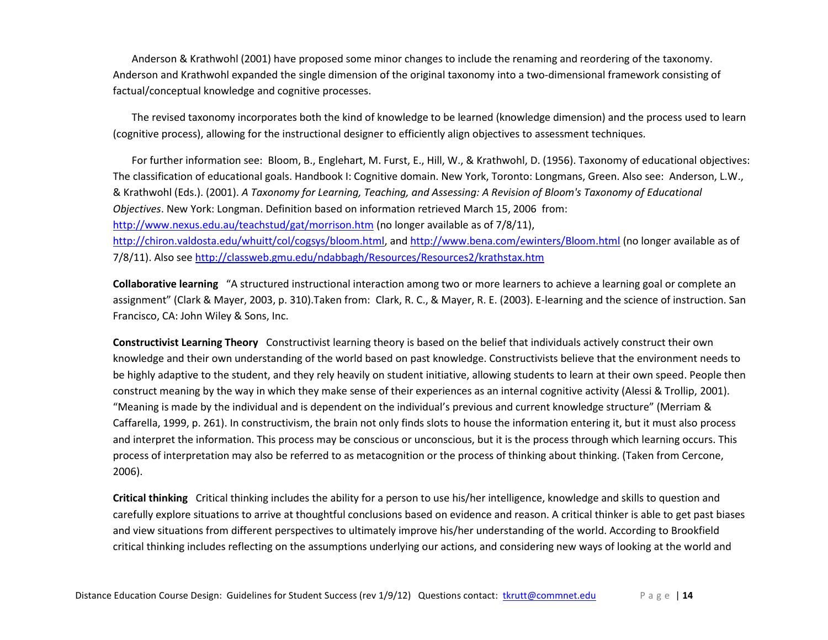Anderson & Krathwohl (2001) have proposed some minor changes to include the renaming and reordering of the taxonomy. Anderson and Krathwohl expanded the single dimension of the original taxonomy into a two-dimensional framework consisting of factual/conceptual knowledge and cognitive processes.

The revised taxonomy incorporates both the kind of knowledge to be learned (knowledge dimension) and the process used to learn (cognitive process), allowing for the instructional designer to efficiently align objectives to assessment techniques.

For further information see: Bloom, B., Englehart, M. Furst, E., Hill, W., & Krathwohl, D. (1956). Taxonomy of educational objectives: The classification of educational goals. Handbook I: Cognitive domain. New York, Toronto: Longmans, Green. Also see: Anderson, L.W., & Krathwohl (Eds.). (2001). *A Taxonomy for Learning, Teaching, and Assessing: A Revision of Bloom's Taxonomy of Educational Objectives*. New York: Longman. Definition based on information retrieved March 15, 2006 from: <http://www.nexus.edu.au/teachstud/gat/morrison.htm> (no longer available as of 7/8/11), [http://chiron.valdosta.edu/whuitt/col/cogsys/bloom.html,](http://chiron.valdosta.edu/whuitt/col/cogsys/bloom.html) and<http://www.bena.com/ewinters/Bloom.html> (no longer available as of 7/8/11). Also se[e http://classweb.gmu.edu/ndabbagh/Resources/Resources2/krathstax.htm](http://classweb.gmu.edu/ndabbagh/Resources/Resources2/krathstax.htm)

**Collaborative learning** "A structured instructional interaction among two or more learners to achieve a learning goal or complete an assignment" (Clark & Mayer, 2003, p. 310).Taken from: Clark, R. C., & Mayer, R. E. (2003). E-learning and the science of instruction. San Francisco, CA: John Wiley & Sons, Inc.

**Constructivist Learning Theory** Constructivist learning theory is based on the belief that individuals actively construct their own knowledge and their own understanding of the world based on past knowledge. Constructivists believe that the environment needs to be highly adaptive to the student, and they rely heavily on student initiative, allowing students to learn at their own speed. People then construct meaning by the way in which they make sense of their experiences as an internal cognitive activity (Alessi & Trollip, 2001). "Meaning is made by the individual and is dependent on the individual's previous and current knowledge structure" (Merriam & Caffarella, 1999, p. 261). In constructivism, the brain not only finds slots to house the information entering it, but it must also process and interpret the information. This process may be conscious or unconscious, but it is the process through which learning occurs. This process of interpretation may also be referred to as metacognition or the process of thinking about thinking. (Taken from Cercone, 2006).

**Critical thinking** Critical thinking includes the ability for a person to use his/her intelligence, knowledge and skills to question and carefully explore situations to arrive at thoughtful conclusions based on evidence and reason. A critical thinker is able to get past biases and view situations from different perspectives to ultimately improve his/her understanding of the world. According to Brookfield critical thinking includes reflecting on the assumptions underlying our actions, and considering new ways of looking at the world and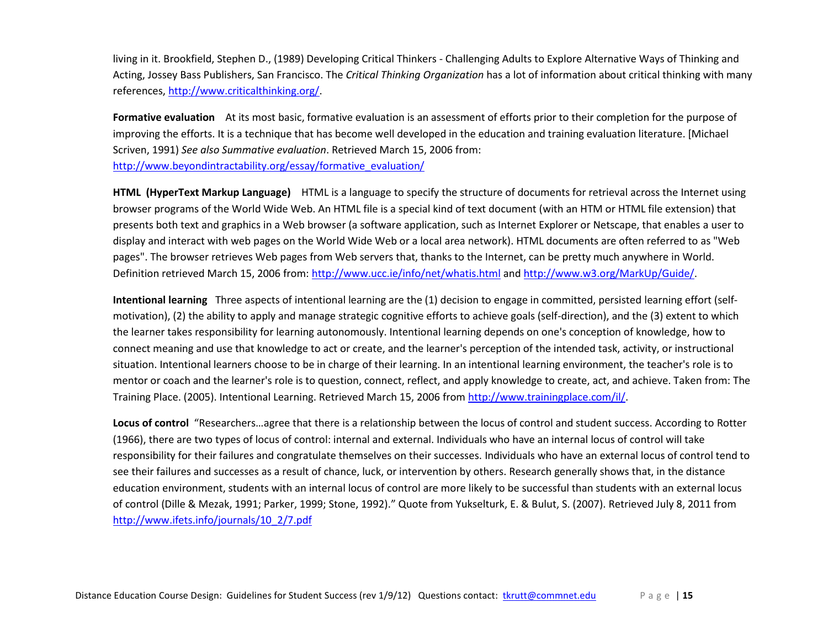living in it. Brookfield, Stephen D., (1989) Developing Critical Thinkers - Challenging Adults to Explore Alternative Ways of Thinking and Acting, Jossey Bass Publishers, San Francisco. The *Critical Thinking Organization* has a lot of information about critical thinking with many references, [http://www.criticalthinking.org/.](http://www.criticalthinking.org/)

**Formative evaluation** At its most basic, formative evaluation is an assessment of efforts prior to their completion for the purpose of improving the efforts. It is a technique that has become well developed in the education and training evaluation literature. [Michael Scriven, 1991) *See also Summative evaluation*. Retrieved March 15, 2006 from: [http://www.beyondintractability.org/essay/formative\\_evaluation/](http://www.beyondintractability.org/essay/formative_evaluation/)

**HTML (HyperText Markup Language)** HTML is a language to specify the structure of documents for retrieval across the Internet using browser programs of the World Wide Web. An HTML file is a special kind of text document (with an HTM or HTML file extension) that presents both text and graphics in a Web browser (a software application, such as Internet Explorer or Netscape, that enables a user to display and interact with web pages on the World Wide Web or a local area network). HTML documents are often referred to as "Web pages". The browser retrieves Web pages from Web servers that, thanks to the Internet, can be pretty much anywhere in World. Definition retrieved March 15, 2006 from:<http://www.ucc.ie/info/net/whatis.html> an[d http://www.w3.org/MarkUp/Guide/.](http://www.w3.org/MarkUp/Guide/)

**Intentional learning** Three aspects of intentional learning are the (1) decision to engage in committed, persisted learning effort (selfmotivation), (2) the ability to apply and manage strategic cognitive efforts to achieve goals (self-direction), and the (3) extent to which the learner takes responsibility for learning autonomously. Intentional learning depends on one's conception of knowledge, how to connect meaning and use that knowledge to act or create, and the learner's perception of the intended task, activity, or instructional situation. Intentional learners choose to be in charge of their learning. In an intentional learning environment, the teacher's role is to mentor or coach and the learner's role is to question, connect, reflect, and apply knowledge to create, act, and achieve. Taken from: The Training Place. (2005). Intentional Learning. Retrieved March 15, 2006 fro[m http://www.trainingplace.com/il/.](http://www.trainingplace.com/il/)

<span id="page-14-0"></span>**Locus of control** "Researchers…agree that there is a relationship between the locus of control and student success. According to Rotter (1966), there are two types of locus of control: internal and external. Individuals who have an internal locus of control will take responsibility for their failures and congratulate themselves on their successes. Individuals who have an external locus of control tend to see their failures and successes as a result of chance, luck, or intervention by others. Research generally shows that, in the distance education environment, students with an internal locus of control are more likely to be successful than students with an external locus of control (Dille & Mezak, 1991; Parker, 1999; Stone, 1992)." Quote from Yukselturk, E. & Bulut, S. (2007). Retrieved July 8, 2011 from [http://www.ifets.info/journals/10\\_2/7.pdf](http://www.ifets.info/journals/10_2/7.pdf)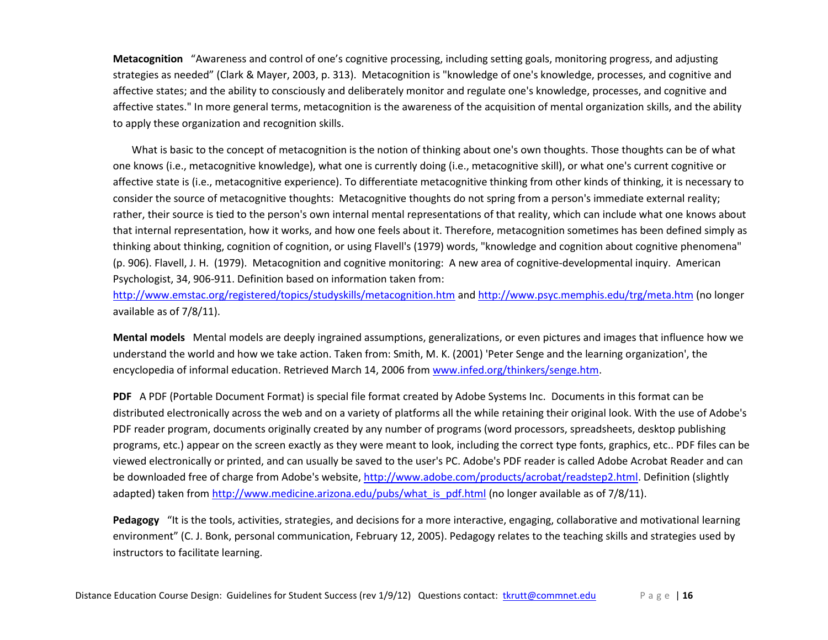**Metacognition** "Awareness and control of one's cognitive processing, including setting goals, monitoring progress, and adjusting strategies as needed" (Clark & Mayer, 2003, p. 313). Metacognition is "knowledge of one's knowledge, processes, and cognitive and affective states; and the ability to consciously and deliberately monitor and regulate one's knowledge, processes, and cognitive and affective states." In more general terms, metacognition is the awareness of the acquisition of mental organization skills, and the ability to apply these organization and recognition skills.

What is basic to the concept of metacognition is the notion of thinking about one's own thoughts. Those thoughts can be of what one knows (i.e., metacognitive knowledge), what one is currently doing (i.e., metacognitive skill), or what one's current cognitive or affective state is (i.e., metacognitive experience). To differentiate metacognitive thinking from other kinds of thinking, it is necessary to consider the source of metacognitive thoughts: Metacognitive thoughts do not spring from a person's immediate external reality; rather, their source is tied to the person's own internal mental representations of that reality, which can include what one knows about that internal representation, how it works, and how one feels about it. Therefore, metacognition sometimes has been defined simply as thinking about thinking, cognition of cognition, or using Flavell's (1979) words, "knowledge and cognition about cognitive phenomena" (p. 906). Flavell, J. H. (1979). Metacognition and cognitive monitoring: A new area of cognitive-developmental inquiry. American Psychologist, 34, 906-911. Definition based on information taken from:

<http://www.emstac.org/registered/topics/studyskills/metacognition.htm> and<http://www.psyc.memphis.edu/trg/meta.htm> (no longer available as of 7/8/11).

**Mental models** Mental models are deeply ingrained assumptions, generalizations, or even pictures and images that influence how we understand the world and how we take action. Taken from: Smith, M. K. (2001) 'Peter Senge and the learning organization', the encyclopedia of informal education. Retrieved March 14, 2006 fro[m www.infed.org/thinkers/senge.htm.](http://www.infed.org/thinkers/senge.htm)

**PDF** A PDF (Portable Document Format) is special file format created by Adobe Systems Inc. Documents in this format can be distributed electronically across the web and on a variety of platforms all the while retaining their original look. With the use of Adobe's PDF reader program, documents originally created by any number of programs (word processors, spreadsheets, desktop publishing programs, etc.) appear on the screen exactly as they were meant to look, including the correct type fonts, graphics, etc.. PDF files can be viewed electronically or printed, and can usually be saved to the user's PC. Adobe's PDF reader is called Adobe Acrobat Reader and can be downloaded free of charge from Adobe's website, [http://www.adobe.com/products/acrobat/readstep2.html.](http://www.adobe.com/products/acrobat/readstep2.html) Definition (slightly adapted) taken from [http://www.medicine.arizona.edu/pubs/what\\_is\\_pdf.html](http://www.medicine.arizona.edu/pubs/what_is_pdf.html) (no longer available as of 7/8/11).

<span id="page-15-0"></span>**Pedagogy** "It is the tools, activities, strategies, and decisions for a more interactive, engaging, collaborative and motivational learning environment" (C. J. Bonk, personal communication, February 12, 2005). Pedagogy relates to the teaching skills and strategies used by instructors to facilitate learning.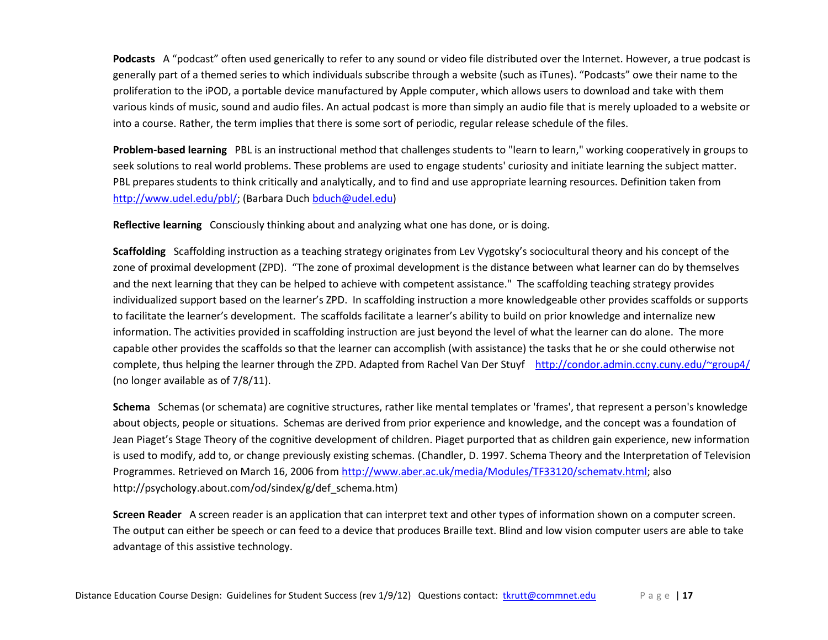**Podcasts** A "podcast" often used generically to refer to any sound or video file distributed over the Internet. However, a true podcast is generally part of a themed series to which individuals subscribe through a website (such as iTunes). "Podcasts" owe their name to the proliferation to the iPOD, a portable device manufactured by Apple computer, which allows users to download and take with them various kinds of music, sound and audio files. An actual podcast is more than simply an audio file that is merely uploaded to a website or into a course. Rather, the term implies that there is some sort of periodic, regular release schedule of the files.

**Problem-based learning** PBL is an instructional method that challenges students to "learn to learn," working cooperatively in groups to seek solutions to real world problems. These problems are used to engage students' curiosity and initiate learning the subject matter. PBL prepares students to think critically and analytically, and to find and use appropriate learning resources. Definition taken from [http://www.udel.edu/pbl/;](http://www.udel.edu/pbl/) (Barbara Duc[h bduch@udel.edu\)](mailto:bduch@udel.edu)

**Reflective learning** Consciously thinking about and analyzing what one has done, or is doing.

**Scaffolding** Scaffolding instruction as a teaching strategy originates from Lev Vygotsky's sociocultural theory and his concept of the zone of proximal development (ZPD). "The zone of proximal development is the distance between what learner can do by themselves and the next learning that they can be helped to achieve with competent assistance." The scaffolding teaching strategy provides individualized support based on the learner's ZPD. In scaffolding instruction a more knowledgeable other provides scaffolds or supports to facilitate the learner's development. The scaffolds facilitate a learner's ability to build on prior knowledge and internalize new information. The activities provided in scaffolding instruction are just beyond the level of what the learner can do alone. The more capable other provides the scaffolds so that the learner can accomplish (with assistance) the tasks that he or she could otherwise not complete, thus helping the learner through the ZPD. Adapted from Rachel Van Der Stuyf <http://condor.admin.ccny.cuny.edu/~group4/> (no longer available as of 7/8/11).

**Schema** Schemas (or schemata) are cognitive structures, rather like mental templates or 'frames', that represent a person's knowledge about objects, people or situations. Schemas are derived from prior experience and knowledge, and the concept was a foundation of Jean Piaget's Stage Theory of the cognitive development of children. Piaget purported that as children gain experience, new information is used to modify, add to, or change previously existing schemas. (Chandler, D. 1997. Schema Theory and the Interpretation of Television Programmes. Retrieved on March 16, 2006 from [http://www.aber.ac.uk/media/Modules/TF33120/schematv.html;](http://www.aber.ac.uk/media/Modules/TF33120/schematv.html) also http://psychology.about.com/od/sindex/g/def\_schema.htm)

**Screen Reader** A screen reader is an application that can interpret text and other types of information shown on a computer screen. The output can either be speech or can feed to a device that produces Braille text. Blind and low vision computer users are able to take advantage of this assistive technology.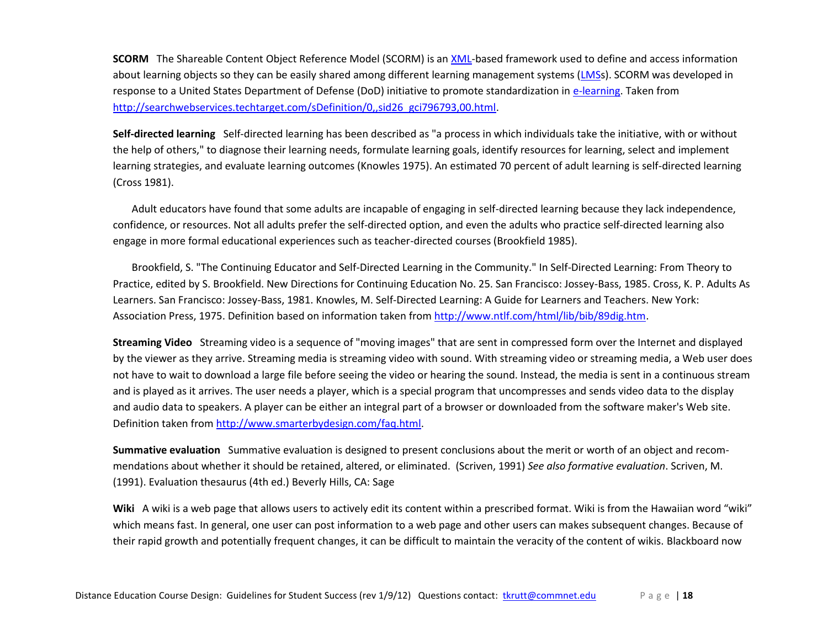**SCORM** The Shareable Content Object Reference Model (SCORM) is an [XML-](http://searchwebservices.techtarget.com/sDefinition/0,,sid26_gci213404,00.html)based framework used to define and access information about learning objects so they can be easily shared among different learning management systems [\(LMSs](http://searchcio.techtarget.com/sDefinition/0,,sid19_gci798202,00.html)). SCORM was developed in response to a United States Department of Defense (DoD) initiative to promote standardization in [e-learning.](http://searchsmb.techtarget.com/sDefinition/0,,sid44_gci509906,00.html) Taken from [http://searchwebservices.techtarget.com/sDefinition/0,,sid26\\_gci796793,00.html.](http://searchwebservices.techtarget.com/sDefinition/0,,sid26_gci796793,00.html)

**Self-directed learning** Self-directed learning has been described as "a process in which individuals take the initiative, with or without the help of others," to diagnose their learning needs, formulate learning goals, identify resources for learning, select and implement learning strategies, and evaluate learning outcomes (Knowles 1975). An estimated 70 percent of adult learning is self-directed learning (Cross 1981).

Adult educators have found that some adults are incapable of engaging in self-directed learning because they lack independence, confidence, or resources. Not all adults prefer the self-directed option, and even the adults who practice self-directed learning also engage in more formal educational experiences such as teacher-directed courses (Brookfield 1985).

Brookfield, S. "The Continuing Educator and Self-Directed Learning in the Community." In Self-Directed Learning: From Theory to Practice, edited by S. Brookfield. New Directions for Continuing Education No. 25. San Francisco: Jossey-Bass, 1985. Cross, K. P. Adults As Learners. San Francisco: Jossey-Bass, 1981. Knowles, M. Self-Directed Learning: A Guide for Learners and Teachers. New York: Association Press, 1975. Definition based on information taken from [http://www.ntlf.com/html/lib/bib/89dig.htm.](http://www.ntlf.com/html/lib/bib/89dig.htm)

**Streaming Video** Streaming video is a sequence of "moving images" that are sent in compressed form over the Internet and displayed by the viewer as they arrive. Streaming media is streaming video with sound. With streaming video or streaming media, a Web user does not have to wait to download a large file before seeing the video or hearing the sound. Instead, the media is sent in a continuous stream and is played as it arrives. The user needs a player, which is a special program that uncompresses and sends video data to the display and audio data to speakers. A player can be either an integral part of a browser or downloaded from the software maker's Web site. Definition taken fro[m http://www.smarterbydesign.com/faq.html.](http://www.smarterbydesign.com/faq.html)

**Summative evaluation** Summative evaluation is designed to present conclusions about the merit or worth of an object and recommendations about whether it should be retained, altered, or eliminated. (Scriven, 1991) *See also formative evaluation*. Scriven, M. (1991). Evaluation thesaurus (4th ed.) Beverly Hills, CA: Sage

Wiki A wiki is a web page that allows users to actively edit its content within a prescribed format. Wiki is from the Hawaiian word "wiki" which means fast. In general, one user can post information to a web page and other users can makes subsequent changes. Because of their rapid growth and potentially frequent changes, it can be difficult to maintain the veracity of the content of wikis. Blackboard now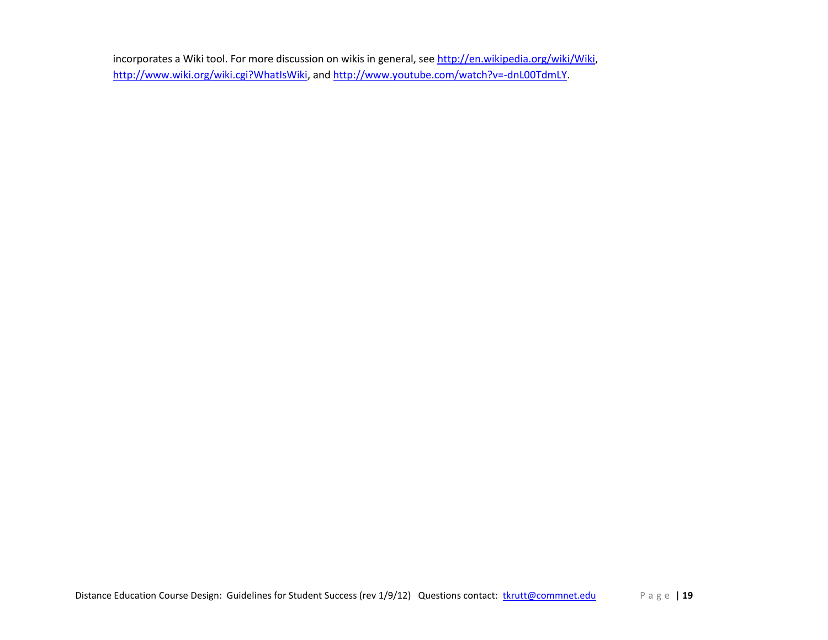incorporates a Wiki tool. For more discussion on wikis in general, see [http://en.wikipedia.org/wiki/Wiki,](http://en.wikipedia.org/wiki/Wiki) [http://www.wiki.org/wiki.cgi?WhatIsWiki,](http://www.wiki.org/wiki.cgi?WhatIsWiki) an[d http://www.youtube.com/watch?v=-dnL00TdmLY.](http://www.youtube.com/watch?v=-dnL00TdmLY)